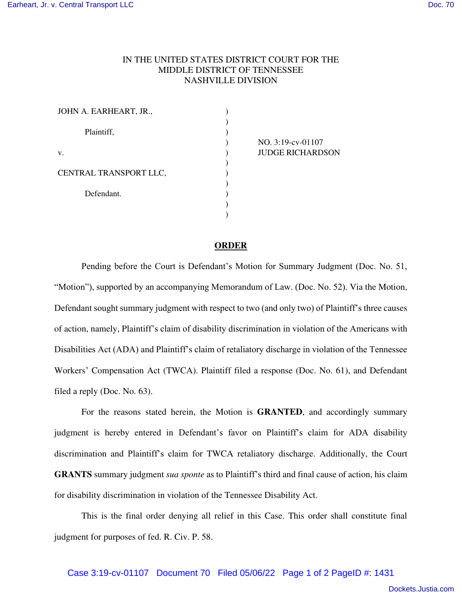## IN THE UNITED STATES DISTRICT COURT FOR THE MIDDLE DISTRICT OF TENNESSEE NASHVILLE DIVISION

| JOHN A. EARHEART, JR., |  |
|------------------------|--|
| Plaintiff,             |  |
| V.                     |  |
| CENTRAL TRANSPORT LLC, |  |
| Defendant.             |  |
|                        |  |

NO. 3:19-cv-01107 JUDGE RICHARDSON

## **ORDER**

Pending before the Court is Defendant's Motion for Summary Judgment (Doc. No. 51, "Motion"), supported by an accompanying Memorandum of Law. (Doc. No. 52). Via the Motion, Defendant sought summary judgment with respect to two (and only two) of Plaintiff's three causes of action, namely, Plaintiff's claim of disability discrimination in violation of the Americans with Disabilities Act (ADA) and Plaintiff's claim of retaliatory discharge in violation of the Tennessee Workers' Compensation Act (TWCA). Plaintiff filed a response (Doc. No. 61), and Defendant filed a reply (Doc. No. 63).

For the reasons stated herein, the Motion is **GRANTED**, and accordingly summary judgment is hereby entered in Defendant's favor on Plaintiff's claim for ADA disability discrimination and Plaintiff's claim for TWCA retaliatory discharge. Additionally, the Court **GRANTS** summary judgment *sua sponte* as to Plaintiff's third and final cause of action, his claim for disability discrimination in violation of the Tennessee Disability Act.

This is the final order denying all relief in this Case. This order shall constitute final judgment for purposes of fed. R. Civ. P. 58.